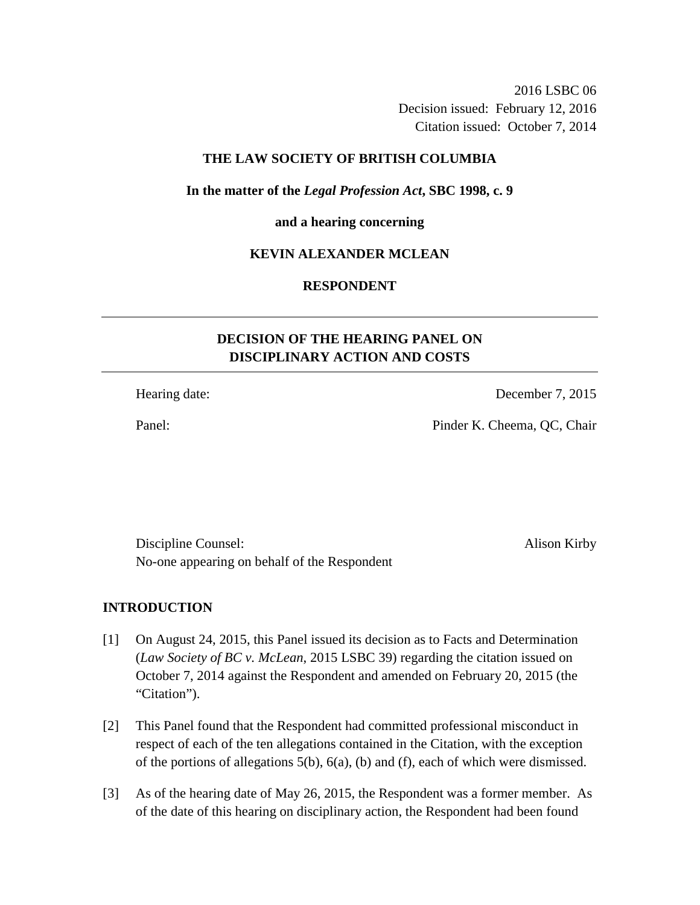2016 LSBC 06 Decision issued: February 12, 2016 Citation issued: October 7, 2014

## **THE LAW SOCIETY OF BRITISH COLUMBIA**

**In the matter of the** *Legal Profession Act***, SBC 1998, c. 9** 

#### **and a hearing concerning**

## **KEVIN ALEXANDER MCLEAN**

# **RESPONDENT**

# **DECISION OF THE HEARING PANEL ON DISCIPLINARY ACTION AND COSTS**

Hearing date: December 7, 2015

Panel: Pinder K. Cheema, QC, Chair

Discipline Counsel: Alison Kirby No-one appearing on behalf of the Respondent

## **INTRODUCTION**

- [1] On August 24, 2015, this Panel issued its decision as to Facts and Determination (*Law Society of BC v. McLean*, 2015 LSBC 39) regarding the citation issued on October 7, 2014 against the Respondent and amended on February 20, 2015 (the "Citation").
- [2] This Panel found that the Respondent had committed professional misconduct in respect of each of the ten allegations contained in the Citation, with the exception of the portions of allegations 5(b), 6(a), (b) and (f), each of which were dismissed.
- [3] As of the hearing date of May 26, 2015, the Respondent was a former member. As of the date of this hearing on disciplinary action, the Respondent had been found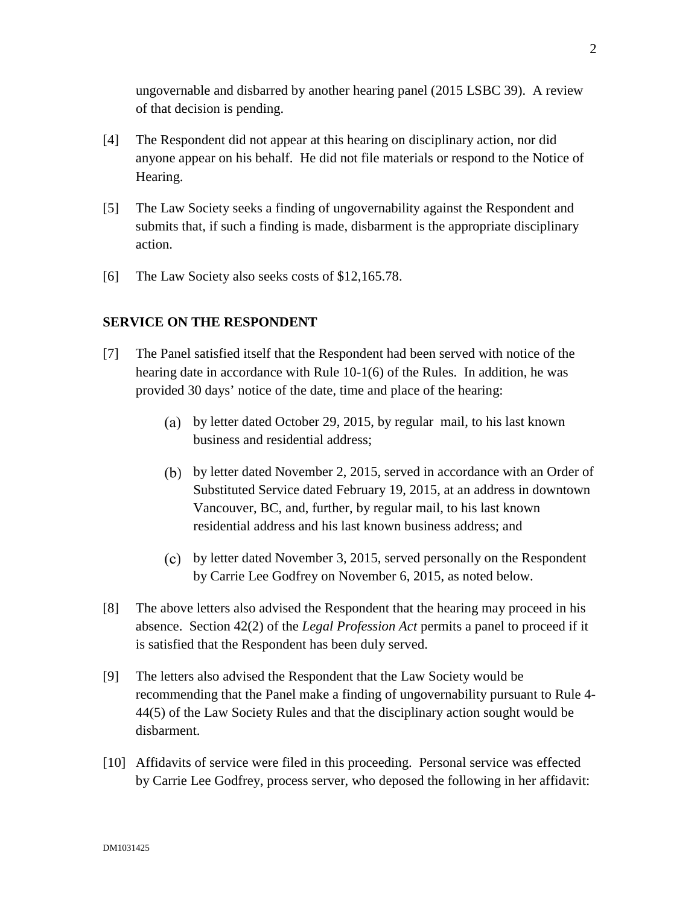ungovernable and disbarred by another hearing panel (2015 LSBC 39). A review of that decision is pending.

- [4] The Respondent did not appear at this hearing on disciplinary action, nor did anyone appear on his behalf. He did not file materials or respond to the Notice of Hearing.
- [5] The Law Society seeks a finding of ungovernability against the Respondent and submits that, if such a finding is made, disbarment is the appropriate disciplinary action.
- [6] The Law Society also seeks costs of \$12,165.78.

## **SERVICE ON THE RESPONDENT**

- [7] The Panel satisfied itself that the Respondent had been served with notice of the hearing date in accordance with Rule 10-1(6) of the Rules. In addition, he was provided 30 days' notice of the date, time and place of the hearing:
	- by letter dated October 29, 2015, by regular mail, to his last known business and residential address;
	- by letter dated November 2, 2015, served in accordance with an Order of Substituted Service dated February 19, 2015, at an address in downtown Vancouver, BC, and, further, by regular mail, to his last known residential address and his last known business address; and
	- by letter dated November 3, 2015, served personally on the Respondent by Carrie Lee Godfrey on November 6, 2015, as noted below.
- [8] The above letters also advised the Respondent that the hearing may proceed in his absence. Section 42(2) of the *Legal Profession Act* permits a panel to proceed if it is satisfied that the Respondent has been duly served.
- [9] The letters also advised the Respondent that the Law Society would be recommending that the Panel make a finding of ungovernability pursuant to Rule 4- 44(5) of the Law Society Rules and that the disciplinary action sought would be disbarment.
- [10] Affidavits of service were filed in this proceeding. Personal service was effected by Carrie Lee Godfrey, process server, who deposed the following in her affidavit: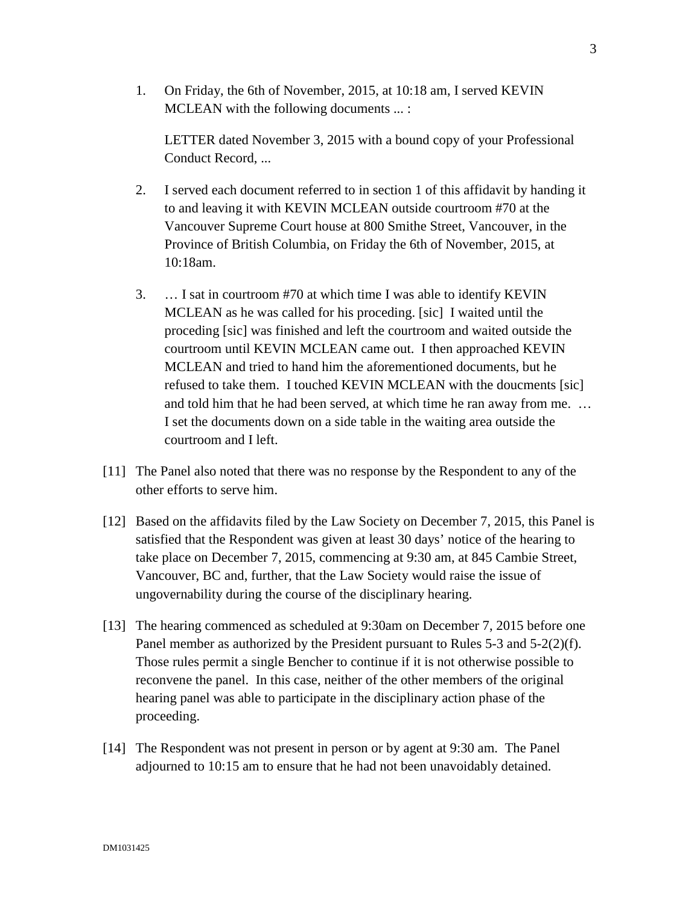1. On Friday, the 6th of November, 2015, at 10:18 am, I served KEVIN MCLEAN with the following documents ... :

LETTER dated November 3, 2015 with a bound copy of your Professional Conduct Record, ...

- 2. I served each document referred to in section 1 of this affidavit by handing it to and leaving it with KEVIN MCLEAN outside courtroom #70 at the Vancouver Supreme Court house at 800 Smithe Street, Vancouver, in the Province of British Columbia, on Friday the 6th of November, 2015, at 10:18am.
- 3. … I sat in courtroom #70 at which time I was able to identify KEVIN MCLEAN as he was called for his proceding. [sic] I waited until the proceding [sic] was finished and left the courtroom and waited outside the courtroom until KEVIN MCLEAN came out. I then approached KEVIN MCLEAN and tried to hand him the aforementioned documents, but he refused to take them. I touched KEVIN MCLEAN with the doucments [sic] and told him that he had been served, at which time he ran away from me. … I set the documents down on a side table in the waiting area outside the courtroom and I left.
- [11] The Panel also noted that there was no response by the Respondent to any of the other efforts to serve him.
- [12] Based on the affidavits filed by the Law Society on December 7, 2015, this Panel is satisfied that the Respondent was given at least 30 days' notice of the hearing to take place on December 7, 2015, commencing at 9:30 am, at 845 Cambie Street, Vancouver, BC and, further, that the Law Society would raise the issue of ungovernability during the course of the disciplinary hearing.
- [13] The hearing commenced as scheduled at 9:30am on December 7, 2015 before one Panel member as authorized by the President pursuant to Rules 5-3 and 5-2(2)(f). Those rules permit a single Bencher to continue if it is not otherwise possible to reconvene the panel. In this case, neither of the other members of the original hearing panel was able to participate in the disciplinary action phase of the proceeding.
- [14] The Respondent was not present in person or by agent at 9:30 am. The Panel adjourned to 10:15 am to ensure that he had not been unavoidably detained.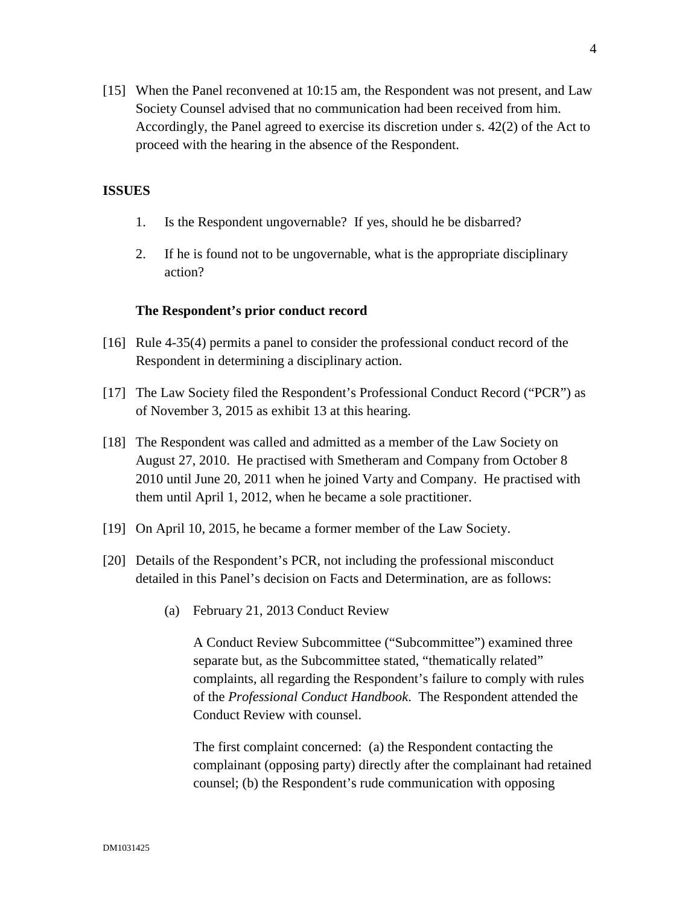[15] When the Panel reconvened at 10:15 am, the Respondent was not present, and Law Society Counsel advised that no communication had been received from him. Accordingly, the Panel agreed to exercise its discretion under s. 42(2) of the Act to proceed with the hearing in the absence of the Respondent.

## **ISSUES**

- 1. Is the Respondent ungovernable? If yes, should he be disbarred?
- 2. If he is found not to be ungovernable, what is the appropriate disciplinary action?

#### **The Respondent's prior conduct record**

- [16] Rule 4-35(4) permits a panel to consider the professional conduct record of the Respondent in determining a disciplinary action.
- [17] The Law Society filed the Respondent's Professional Conduct Record ("PCR") as of November 3, 2015 as exhibit 13 at this hearing.
- [18] The Respondent was called and admitted as a member of the Law Society on August 27, 2010. He practised with Smetheram and Company from October 8 2010 until June 20, 2011 when he joined Varty and Company. He practised with them until April 1, 2012, when he became a sole practitioner.
- [19] On April 10, 2015, he became a former member of the Law Society.
- [20] Details of the Respondent's PCR, not including the professional misconduct detailed in this Panel's decision on Facts and Determination, are as follows:
	- (a) February 21, 2013 Conduct Review

A Conduct Review Subcommittee ("Subcommittee") examined three separate but, as the Subcommittee stated, "thematically related" complaints, all regarding the Respondent's failure to comply with rules of the *Professional Conduct Handbook*. The Respondent attended the Conduct Review with counsel.

The first complaint concerned: (a) the Respondent contacting the complainant (opposing party) directly after the complainant had retained counsel; (b) the Respondent's rude communication with opposing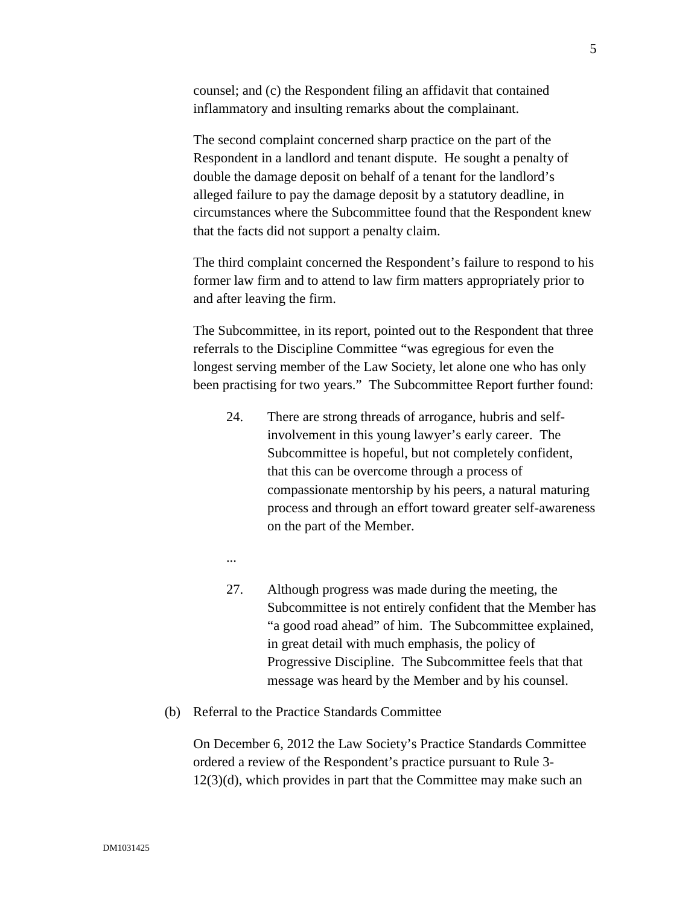counsel; and (c) the Respondent filing an affidavit that contained inflammatory and insulting remarks about the complainant.

The second complaint concerned sharp practice on the part of the Respondent in a landlord and tenant dispute. He sought a penalty of double the damage deposit on behalf of a tenant for the landlord's alleged failure to pay the damage deposit by a statutory deadline, in circumstances where the Subcommittee found that the Respondent knew that the facts did not support a penalty claim.

The third complaint concerned the Respondent's failure to respond to his former law firm and to attend to law firm matters appropriately prior to and after leaving the firm.

The Subcommittee, in its report, pointed out to the Respondent that three referrals to the Discipline Committee "was egregious for even the longest serving member of the Law Society, let alone one who has only been practising for two years." The Subcommittee Report further found:

- 24. There are strong threads of arrogance, hubris and selfinvolvement in this young lawyer's early career. The Subcommittee is hopeful, but not completely confident, that this can be overcome through a process of compassionate mentorship by his peers, a natural maturing process and through an effort toward greater self-awareness on the part of the Member.
- ...
- 27. Although progress was made during the meeting, the Subcommittee is not entirely confident that the Member has "a good road ahead" of him. The Subcommittee explained, in great detail with much emphasis, the policy of Progressive Discipline. The Subcommittee feels that that message was heard by the Member and by his counsel.
- (b) Referral to the Practice Standards Committee

On December 6, 2012 the Law Society's Practice Standards Committee ordered a review of the Respondent's practice pursuant to Rule 3- 12(3)(d), which provides in part that the Committee may make such an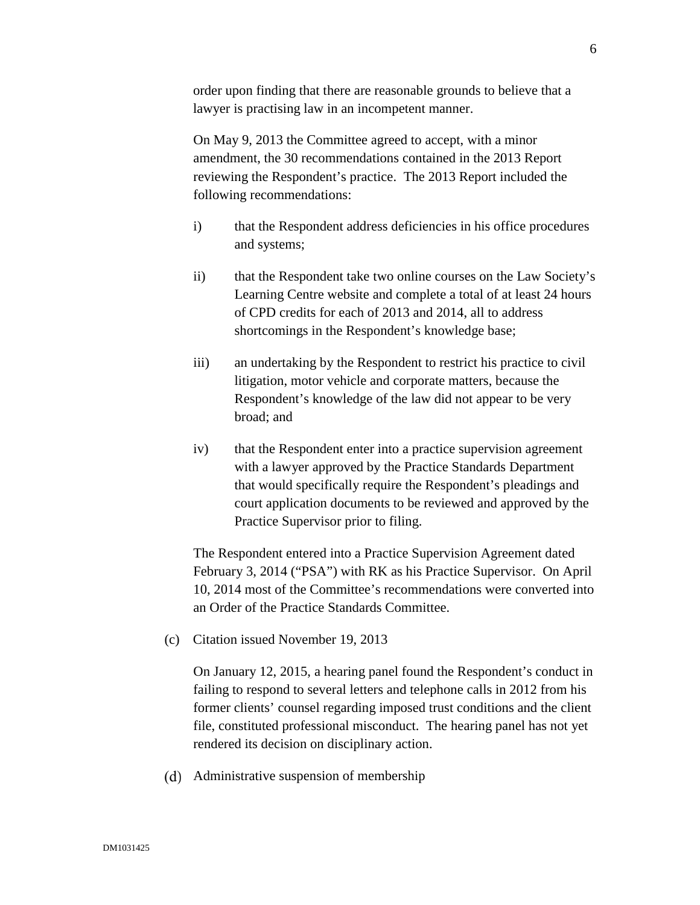order upon finding that there are reasonable grounds to believe that a lawyer is practising law in an incompetent manner.

On May 9, 2013 the Committee agreed to accept, with a minor amendment, the 30 recommendations contained in the 2013 Report reviewing the Respondent's practice. The 2013 Report included the following recommendations:

- i) that the Respondent address deficiencies in his office procedures and systems;
- ii) that the Respondent take two online courses on the Law Society's Learning Centre website and complete a total of at least 24 hours of CPD credits for each of 2013 and 2014, all to address shortcomings in the Respondent's knowledge base;
- iii) an undertaking by the Respondent to restrict his practice to civil litigation, motor vehicle and corporate matters, because the Respondent's knowledge of the law did not appear to be very broad; and
- iv) that the Respondent enter into a practice supervision agreement with a lawyer approved by the Practice Standards Department that would specifically require the Respondent's pleadings and court application documents to be reviewed and approved by the Practice Supervisor prior to filing.

The Respondent entered into a Practice Supervision Agreement dated February 3, 2014 ("PSA") with RK as his Practice Supervisor. On April 10, 2014 most of the Committee's recommendations were converted into an Order of the Practice Standards Committee.

(c) Citation issued November 19, 2013

On January 12, 2015, a hearing panel found the Respondent's conduct in failing to respond to several letters and telephone calls in 2012 from his former clients' counsel regarding imposed trust conditions and the client file, constituted professional misconduct. The hearing panel has not yet rendered its decision on disciplinary action.

Administrative suspension of membership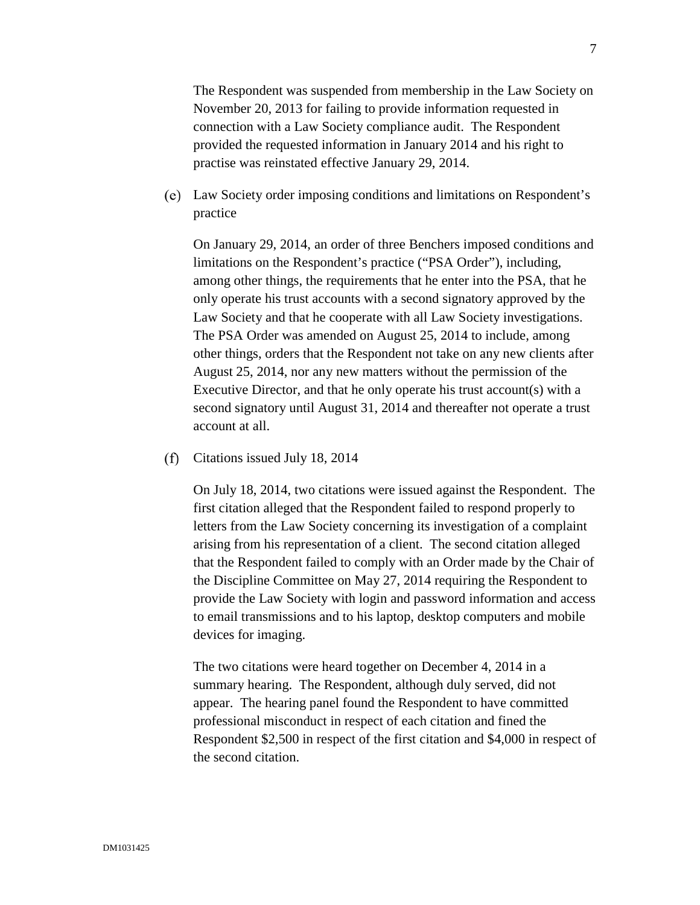The Respondent was suspended from membership in the Law Society on November 20, 2013 for failing to provide information requested in connection with a Law Society compliance audit. The Respondent provided the requested information in January 2014 and his right to practise was reinstated effective January 29, 2014.

Law Society order imposing conditions and limitations on Respondent's practice

On January 29, 2014, an order of three Benchers imposed conditions and limitations on the Respondent's practice ("PSA Order"), including, among other things, the requirements that he enter into the PSA, that he only operate his trust accounts with a second signatory approved by the Law Society and that he cooperate with all Law Society investigations. The PSA Order was amended on August 25, 2014 to include, among other things, orders that the Respondent not take on any new clients after August 25, 2014, nor any new matters without the permission of the Executive Director, and that he only operate his trust account(s) with a second signatory until August 31, 2014 and thereafter not operate a trust account at all.

 $(f)$ Citations issued July 18, 2014

> On July 18, 2014, two citations were issued against the Respondent. The first citation alleged that the Respondent failed to respond properly to letters from the Law Society concerning its investigation of a complaint arising from his representation of a client. The second citation alleged that the Respondent failed to comply with an Order made by the Chair of the Discipline Committee on May 27, 2014 requiring the Respondent to provide the Law Society with login and password information and access to email transmissions and to his laptop, desktop computers and mobile devices for imaging.

> The two citations were heard together on December 4, 2014 in a summary hearing. The Respondent, although duly served, did not appear. The hearing panel found the Respondent to have committed professional misconduct in respect of each citation and fined the Respondent \$2,500 in respect of the first citation and \$4,000 in respect of the second citation.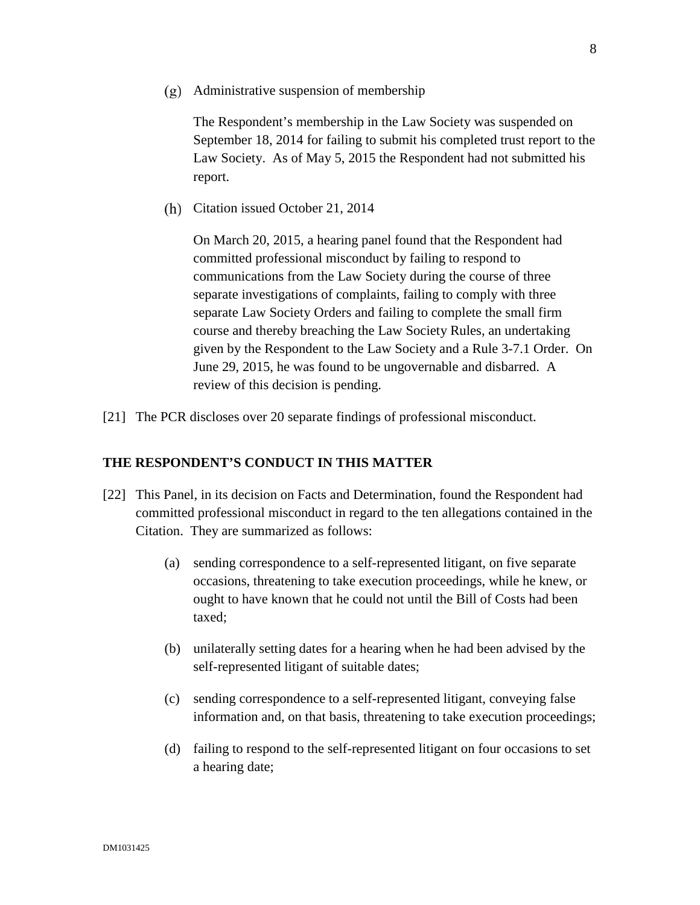Administrative suspension of membership

The Respondent's membership in the Law Society was suspended on September 18, 2014 for failing to submit his completed trust report to the Law Society. As of May 5, 2015 the Respondent had not submitted his report.

(h) Citation issued October 21, 2014

On March 20, 2015, a hearing panel found that the Respondent had committed professional misconduct by failing to respond to communications from the Law Society during the course of three separate investigations of complaints, failing to comply with three separate Law Society Orders and failing to complete the small firm course and thereby breaching the Law Society Rules, an undertaking given by the Respondent to the Law Society and a Rule 3-7.1 Order. On June 29, 2015, he was found to be ungovernable and disbarred. A review of this decision is pending.

[21] The PCR discloses over 20 separate findings of professional misconduct.

#### **THE RESPONDENT'S CONDUCT IN THIS MATTER**

- [22] This Panel, in its decision on Facts and Determination, found the Respondent had committed professional misconduct in regard to the ten allegations contained in the Citation. They are summarized as follows:
	- (a) sending correspondence to a self-represented litigant, on five separate occasions, threatening to take execution proceedings, while he knew, or ought to have known that he could not until the Bill of Costs had been taxed;
	- (b) unilaterally setting dates for a hearing when he had been advised by the self-represented litigant of suitable dates;
	- (c) sending correspondence to a self-represented litigant, conveying false information and, on that basis, threatening to take execution proceedings;
	- (d) failing to respond to the self-represented litigant on four occasions to set a hearing date;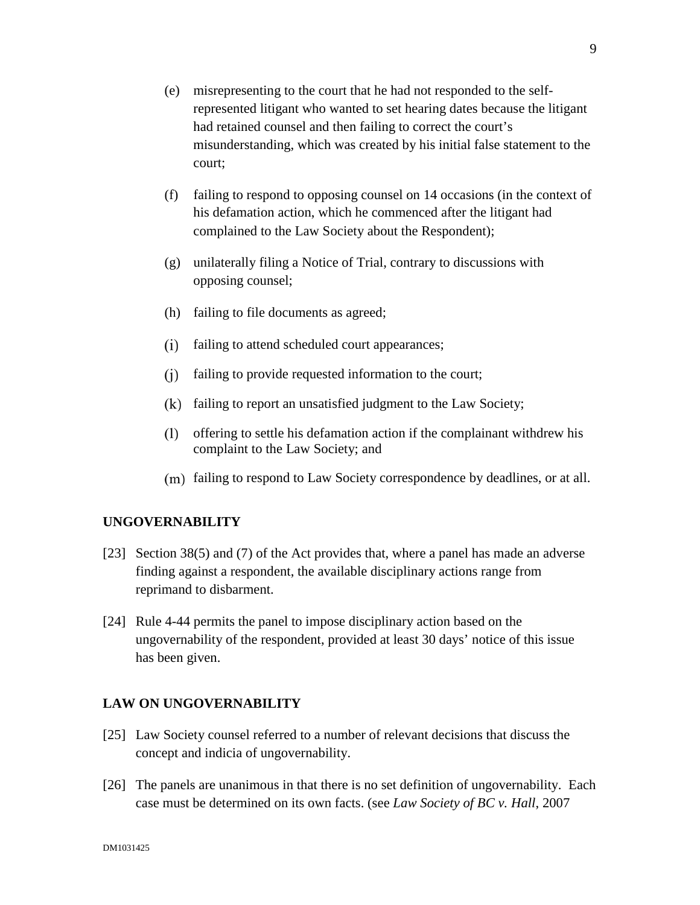- (e) misrepresenting to the court that he had not responded to the selfrepresented litigant who wanted to set hearing dates because the litigant had retained counsel and then failing to correct the court's misunderstanding, which was created by his initial false statement to the court;
- (f) failing to respond to opposing counsel on 14 occasions (in the context of his defamation action, which he commenced after the litigant had complained to the Law Society about the Respondent);
- (g) unilaterally filing a Notice of Trial, contrary to discussions with opposing counsel;
- (h) failing to file documents as agreed;
- failing to attend scheduled court appearances;
- $(i)$  failing to provide requested information to the court;
- $(k)$  failing to report an unsatisfied judgment to the Law Society;
- offering to settle his defamation action if the complainant withdrew his complaint to the Law Society; and
- (m) failing to respond to Law Society correspondence by deadlines, or at all.

#### **UNGOVERNABILITY**

- [23] Section 38(5) and (7) of the Act provides that, where a panel has made an adverse finding against a respondent, the available disciplinary actions range from reprimand to disbarment.
- [24] Rule 4-44 permits the panel to impose disciplinary action based on the ungovernability of the respondent, provided at least 30 days' notice of this issue has been given.

## **LAW ON UNGOVERNABILITY**

- [25] Law Society counsel referred to a number of relevant decisions that discuss the concept and indicia of ungovernability.
- [26] The panels are unanimous in that there is no set definition of ungovernability. Each case must be determined on its own facts. (see *Law Society of BC v. Hall*, 2007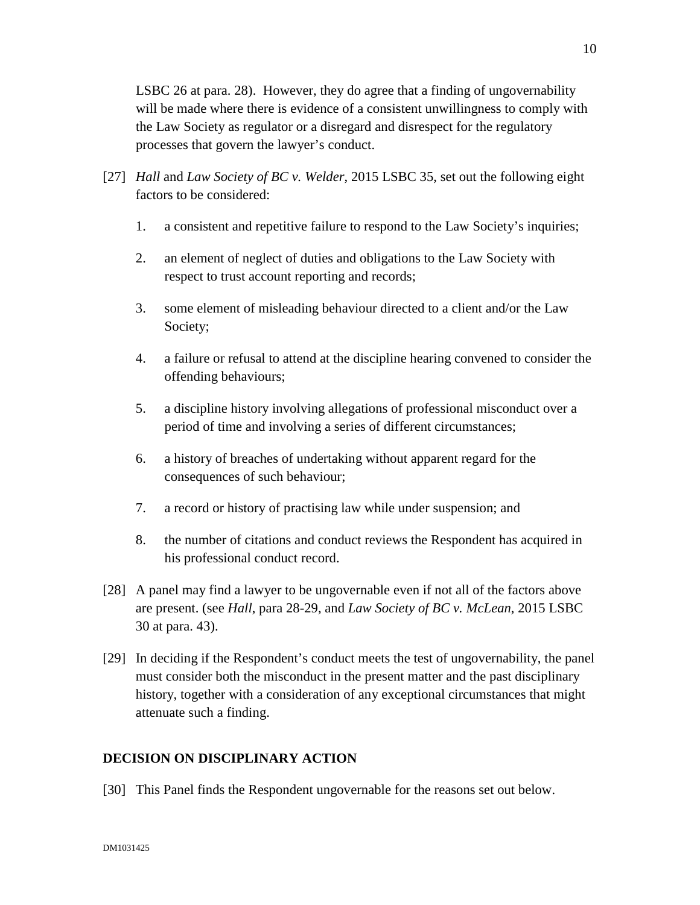LSBC 26 at para. 28). However, they do agree that a finding of ungovernability will be made where there is evidence of a consistent unwillingness to comply with the Law Society as regulator or a disregard and disrespect for the regulatory processes that govern the lawyer's conduct.

- [27] *Hall* and *Law Society of BC v. Welder*, 2015 LSBC 35, set out the following eight factors to be considered:
	- 1. a consistent and repetitive failure to respond to the Law Society's inquiries;
	- 2. an element of neglect of duties and obligations to the Law Society with respect to trust account reporting and records;
	- 3. some element of misleading behaviour directed to a client and/or the Law Society;
	- 4. a failure or refusal to attend at the discipline hearing convened to consider the offending behaviours;
	- 5. a discipline history involving allegations of professional misconduct over a period of time and involving a series of different circumstances;
	- 6. a history of breaches of undertaking without apparent regard for the consequences of such behaviour;
	- 7. a record or history of practising law while under suspension; and
	- 8. the number of citations and conduct reviews the Respondent has acquired in his professional conduct record.
- [28] A panel may find a lawyer to be ungovernable even if not all of the factors above are present. (see *Hall*, para 28-29, and *Law Society of BC v. McLean*, 2015 LSBC 30 at para. 43).
- [29] In deciding if the Respondent's conduct meets the test of ungovernability, the panel must consider both the misconduct in the present matter and the past disciplinary history, together with a consideration of any exceptional circumstances that might attenuate such a finding.

# **DECISION ON DISCIPLINARY ACTION**

[30] This Panel finds the Respondent ungovernable for the reasons set out below.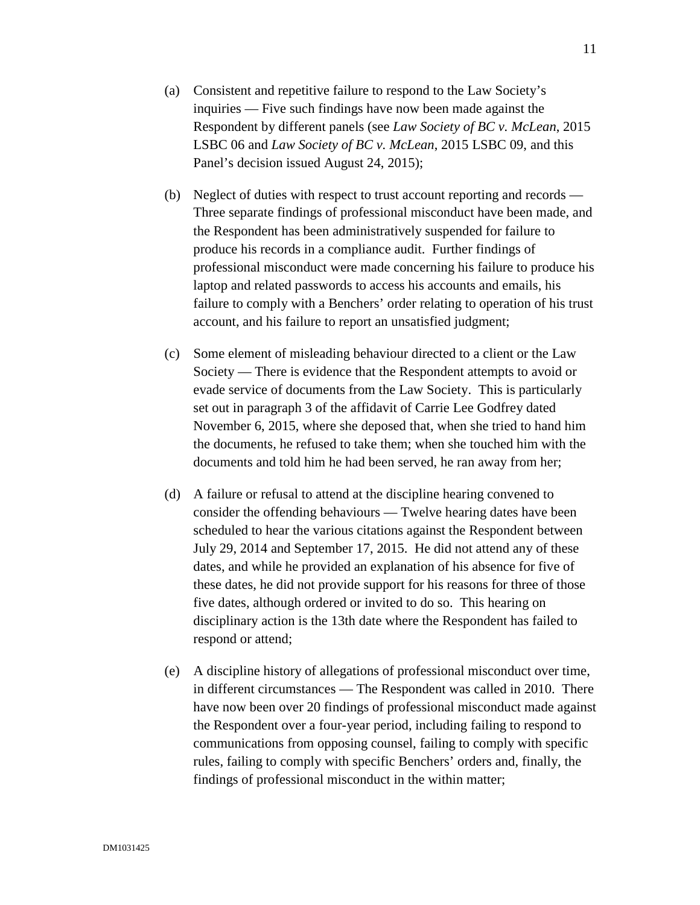- (a) Consistent and repetitive failure to respond to the Law Society's inquiries — Five such findings have now been made against the Respondent by different panels (see *Law Society of BC v. McLean*, 2015 LSBC 06 and *Law Society of BC v. McLean*, 2015 LSBC 09, and this Panel's decision issued August 24, 2015);
- (b) Neglect of duties with respect to trust account reporting and records Three separate findings of professional misconduct have been made, and the Respondent has been administratively suspended for failure to produce his records in a compliance audit. Further findings of professional misconduct were made concerning his failure to produce his laptop and related passwords to access his accounts and emails, his failure to comply with a Benchers' order relating to operation of his trust account, and his failure to report an unsatisfied judgment;
- (c) Some element of misleading behaviour directed to a client or the Law Society — There is evidence that the Respondent attempts to avoid or evade service of documents from the Law Society. This is particularly set out in paragraph 3 of the affidavit of Carrie Lee Godfrey dated November 6, 2015, where she deposed that, when she tried to hand him the documents, he refused to take them; when she touched him with the documents and told him he had been served, he ran away from her;
- (d) A failure or refusal to attend at the discipline hearing convened to consider the offending behaviours — Twelve hearing dates have been scheduled to hear the various citations against the Respondent between July 29, 2014 and September 17, 2015. He did not attend any of these dates, and while he provided an explanation of his absence for five of these dates, he did not provide support for his reasons for three of those five dates, although ordered or invited to do so. This hearing on disciplinary action is the 13th date where the Respondent has failed to respond or attend;
- (e) A discipline history of allegations of professional misconduct over time, in different circumstances — The Respondent was called in 2010. There have now been over 20 findings of professional misconduct made against the Respondent over a four-year period, including failing to respond to communications from opposing counsel, failing to comply with specific rules, failing to comply with specific Benchers' orders and, finally, the findings of professional misconduct in the within matter;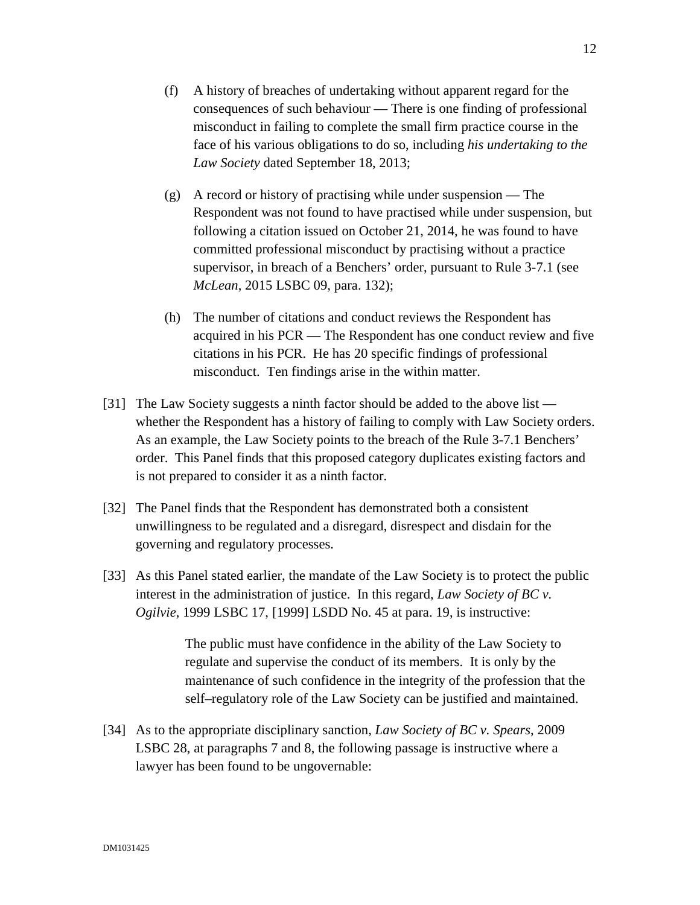- (f) A history of breaches of undertaking without apparent regard for the consequences of such behaviour — There is one finding of professional misconduct in failing to complete the small firm practice course in the face of his various obligations to do so, including *his undertaking to the Law Society* dated September 18, 2013;
- (g) A record or history of practising while under suspension The Respondent was not found to have practised while under suspension, but following a citation issued on October 21, 2014, he was found to have committed professional misconduct by practising without a practice supervisor, in breach of a Benchers' order, pursuant to Rule 3-7.1 (see *McLean*, 2015 LSBC 09, para. 132);
- (h) The number of citations and conduct reviews the Respondent has acquired in his PCR — The Respondent has one conduct review and five citations in his PCR. He has 20 specific findings of professional misconduct. Ten findings arise in the within matter.
- [31] The Law Society suggests a ninth factor should be added to the above list whether the Respondent has a history of failing to comply with Law Society orders. As an example, the Law Society points to the breach of the Rule 3-7.1 Benchers' order. This Panel finds that this proposed category duplicates existing factors and is not prepared to consider it as a ninth factor.
- [32] The Panel finds that the Respondent has demonstrated both a consistent unwillingness to be regulated and a disregard, disrespect and disdain for the governing and regulatory processes.
- [33] As this Panel stated earlier, the mandate of the Law Society is to protect the public interest in the administration of justice. In this regard, *Law Society of BC v. Ogilvie*, 1999 LSBC 17, [1999] LSDD No. 45 at para. 19, is instructive:

The public must have confidence in the ability of the Law Society to regulate and supervise the conduct of its members. It is only by the maintenance of such confidence in the integrity of the profession that the self–regulatory role of the Law Society can be justified and maintained.

[34] As to the appropriate disciplinary sanction, *Law Society of BC v. Spears*, 2009 LSBC 28, at paragraphs 7 and 8, the following passage is instructive where a lawyer has been found to be ungovernable: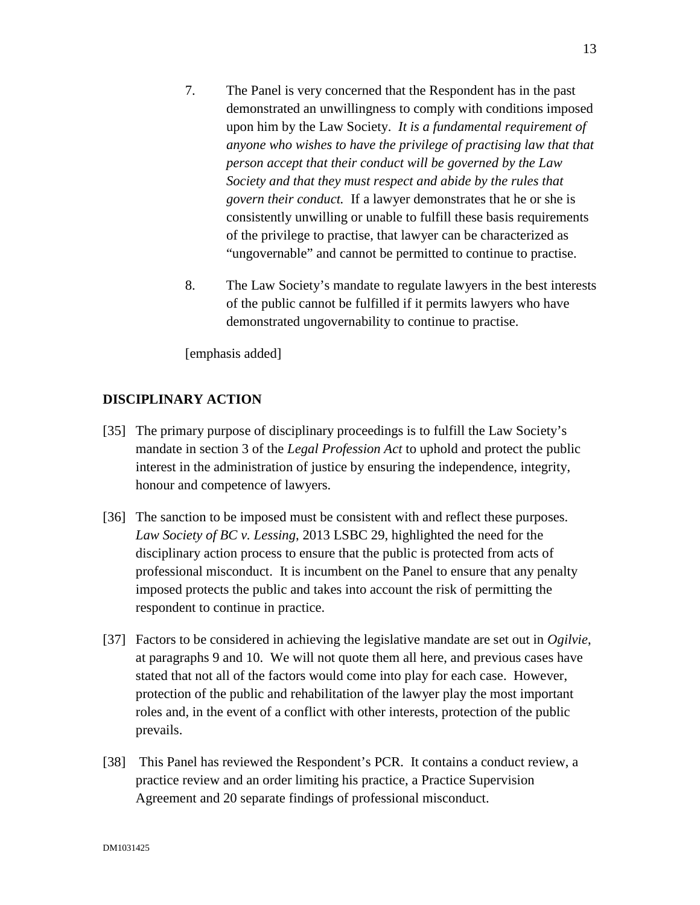- 7. The Panel is very concerned that the Respondent has in the past demonstrated an unwillingness to comply with conditions imposed upon him by the Law Society. *It is a fundamental requirement of anyone who wishes to have the privilege of practising law that that person accept that their conduct will be governed by the Law Society and that they must respect and abide by the rules that govern their conduct.* If a lawyer demonstrates that he or she is consistently unwilling or unable to fulfill these basis requirements of the privilege to practise, that lawyer can be characterized as "ungovernable" and cannot be permitted to continue to practise.
- 8. The Law Society's mandate to regulate lawyers in the best interests of the public cannot be fulfilled if it permits lawyers who have demonstrated ungovernability to continue to practise.

[emphasis added]

# **DISCIPLINARY ACTION**

- [35] The primary purpose of disciplinary proceedings is to fulfill the Law Society's mandate in section 3 of the *Legal Profession Act* to uphold and protect the public interest in the administration of justice by ensuring the independence, integrity, honour and competence of lawyers.
- [36] The sanction to be imposed must be consistent with and reflect these purposes. *Law Society of BC v. Lessing*, 2013 LSBC 29, highlighted the need for the disciplinary action process to ensure that the public is protected from acts of professional misconduct. It is incumbent on the Panel to ensure that any penalty imposed protects the public and takes into account the risk of permitting the respondent to continue in practice.
- [37] Factors to be considered in achieving the legislative mandate are set out in *Ogilvie*, at paragraphs 9 and 10. We will not quote them all here, and previous cases have stated that not all of the factors would come into play for each case. However, protection of the public and rehabilitation of the lawyer play the most important roles and, in the event of a conflict with other interests, protection of the public prevails.
- [38] This Panel has reviewed the Respondent's PCR. It contains a conduct review, a practice review and an order limiting his practice, a Practice Supervision Agreement and 20 separate findings of professional misconduct.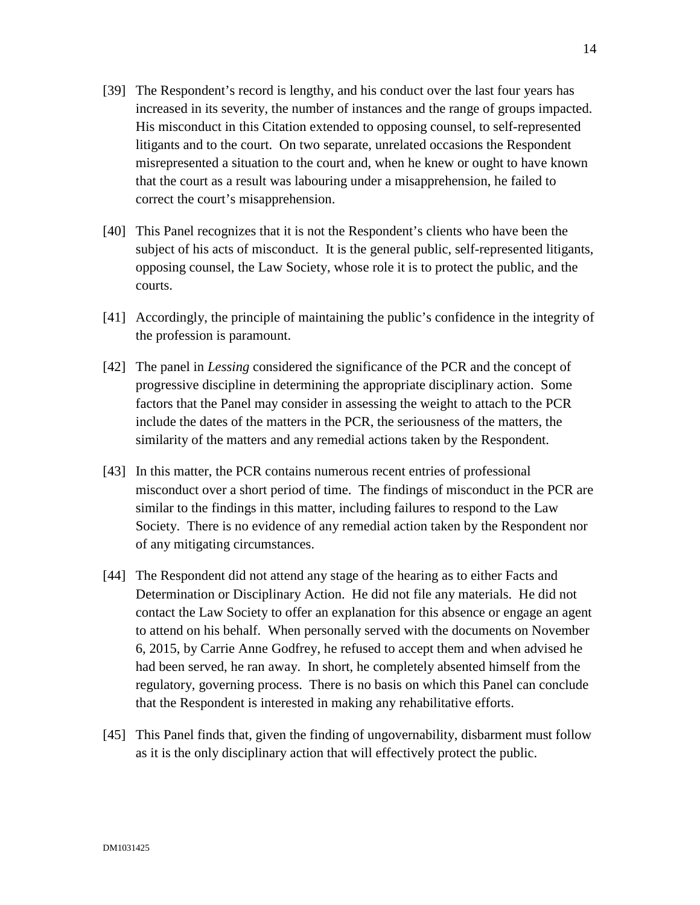- [39] The Respondent's record is lengthy, and his conduct over the last four years has increased in its severity, the number of instances and the range of groups impacted. His misconduct in this Citation extended to opposing counsel, to self-represented litigants and to the court. On two separate, unrelated occasions the Respondent misrepresented a situation to the court and, when he knew or ought to have known that the court as a result was labouring under a misapprehension, he failed to correct the court's misapprehension.
- [40] This Panel recognizes that it is not the Respondent's clients who have been the subject of his acts of misconduct. It is the general public, self-represented litigants, opposing counsel, the Law Society, whose role it is to protect the public, and the courts.
- [41] Accordingly, the principle of maintaining the public's confidence in the integrity of the profession is paramount.
- [42] The panel in *Lessing* considered the significance of the PCR and the concept of progressive discipline in determining the appropriate disciplinary action. Some factors that the Panel may consider in assessing the weight to attach to the PCR include the dates of the matters in the PCR, the seriousness of the matters, the similarity of the matters and any remedial actions taken by the Respondent.
- [43] In this matter, the PCR contains numerous recent entries of professional misconduct over a short period of time. The findings of misconduct in the PCR are similar to the findings in this matter, including failures to respond to the Law Society. There is no evidence of any remedial action taken by the Respondent nor of any mitigating circumstances.
- [44] The Respondent did not attend any stage of the hearing as to either Facts and Determination or Disciplinary Action. He did not file any materials. He did not contact the Law Society to offer an explanation for this absence or engage an agent to attend on his behalf. When personally served with the documents on November 6, 2015, by Carrie Anne Godfrey, he refused to accept them and when advised he had been served, he ran away. In short, he completely absented himself from the regulatory, governing process. There is no basis on which this Panel can conclude that the Respondent is interested in making any rehabilitative efforts.
- [45] This Panel finds that, given the finding of ungovernability, disbarment must follow as it is the only disciplinary action that will effectively protect the public.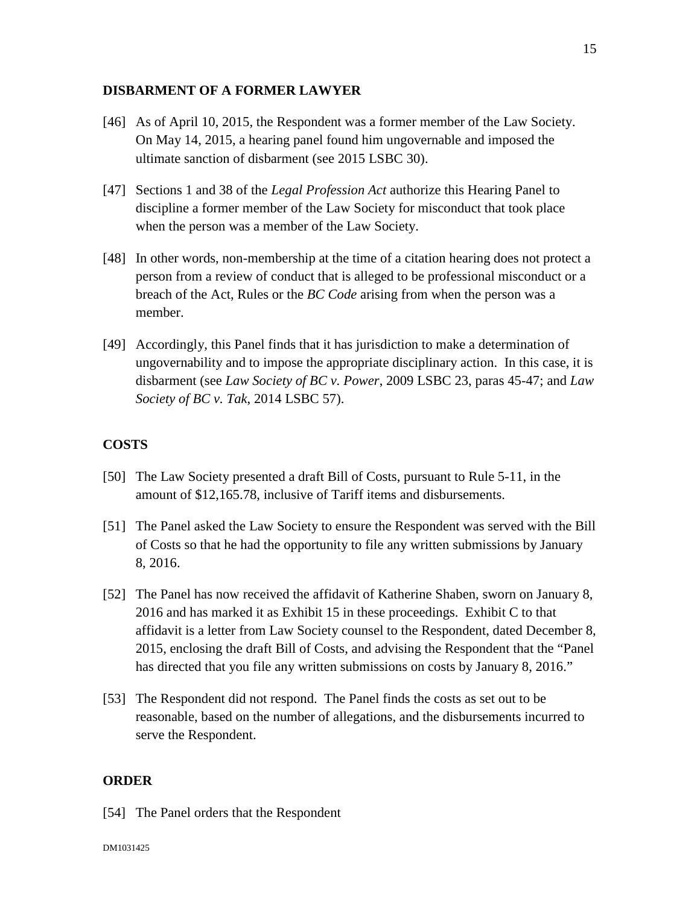#### **DISBARMENT OF A FORMER LAWYER**

- [46] As of April 10, 2015, the Respondent was a former member of the Law Society. On May 14, 2015, a hearing panel found him ungovernable and imposed the ultimate sanction of disbarment (see 2015 LSBC 30).
- [47] Sections 1 and 38 of the *Legal Profession Act* authorize this Hearing Panel to discipline a former member of the Law Society for misconduct that took place when the person was a member of the Law Society.
- [48] In other words, non-membership at the time of a citation hearing does not protect a person from a review of conduct that is alleged to be professional misconduct or a breach of the Act, Rules or the *BC Code* arising from when the person was a member.
- [49] Accordingly, this Panel finds that it has jurisdiction to make a determination of ungovernability and to impose the appropriate disciplinary action. In this case, it is disbarment (see *Law Society of BC v. Power*, 2009 LSBC 23, paras 45-47; and *Law Society of BC v. Tak*, 2014 LSBC 57).

## **COSTS**

- [50] The Law Society presented a draft Bill of Costs, pursuant to Rule 5-11, in the amount of \$12,165.78, inclusive of Tariff items and disbursements.
- [51] The Panel asked the Law Society to ensure the Respondent was served with the Bill of Costs so that he had the opportunity to file any written submissions by January 8, 2016.
- [52] The Panel has now received the affidavit of Katherine Shaben, sworn on January 8, 2016 and has marked it as Exhibit 15 in these proceedings. Exhibit C to that affidavit is a letter from Law Society counsel to the Respondent, dated December 8, 2015, enclosing the draft Bill of Costs, and advising the Respondent that the "Panel has directed that you file any written submissions on costs by January 8, 2016."
- [53] The Respondent did not respond. The Panel finds the costs as set out to be reasonable, based on the number of allegations, and the disbursements incurred to serve the Respondent.

# **ORDER**

[54] The Panel orders that the Respondent